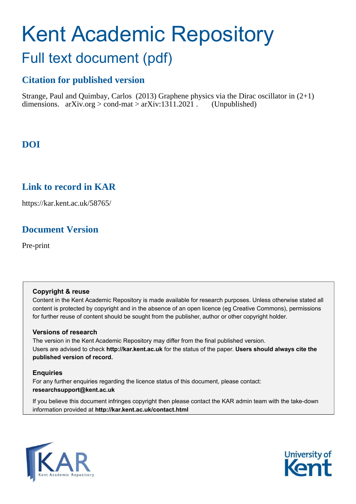# Kent Academic Repository Full text document (pdf)

# **Citation for published version**

Strange, Paul and Quimbay, Carlos (2013) Graphene physics via the Dirac oscillator in (2+1) dimensions. arXiv.org > cond-mat > arXiv:1311.2021 . (Unpublished)

## **DOI**

### **Link to record in KAR**

https://kar.kent.ac.uk/58765/

### **Document Version**

Pre-print

#### **Copyright & reuse**

Content in the Kent Academic Repository is made available for research purposes. Unless otherwise stated all content is protected by copyright and in the absence of an open licence (eg Creative Commons), permissions for further reuse of content should be sought from the publisher, author or other copyright holder.

#### **Versions of research**

The version in the Kent Academic Repository may differ from the final published version. Users are advised to check **http://kar.kent.ac.uk** for the status of the paper. **Users should always cite the published version of record.**

#### **Enquiries**

For any further enquiries regarding the licence status of this document, please contact: **researchsupport@kent.ac.uk**

<span id="page-0-1"></span><span id="page-0-0"></span>If you believe this document infringes copyright then please contact the KAR admin team with the take-down information provided at **http://kar.kent.ac.uk/contact.html**

<span id="page-0-2"></span>

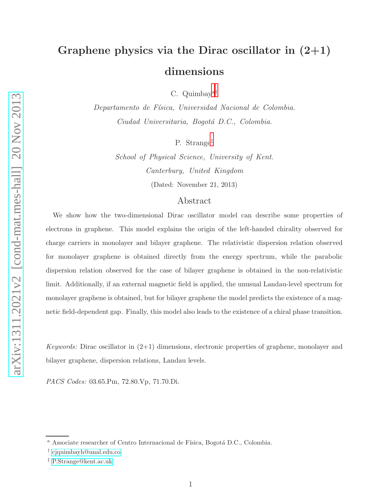# Graphene physics via the Dirac oscillator in  $(2+1)$ dimensions

C. Quimbay[a](#page-0-0)[†](#page-0-1)

Departamento de Física, Universidad Nacional de Colombia. Ciudad Universitaria, Bogotá D.C., Colombia.

P. Strange[‡](#page-0-2)

School of Physical Science, University of Kent. Canterbury, United Kingdom (Dated: November 21, 2013)

#### Abstract

We show how the two-dimensional Dirac oscillator model can describe some properties of electrons in graphene. This model explains the origin of the left-handed chirality observed for charge carriers in monolayer and bilayer graphene. The relativistic dispersion relation observed for monolayer graphene is obtained directly from the energy spectrum, while the parabolic dispersion relation observed for the case of bilayer graphene is obtained in the non-relativistic limit. Additionally, if an external magnetic field is applied, the unusual Landau-level spectrum for monolayer graphene is obtained, but for bilayer graphene the model predicts the existence of a magnetic field-dependent gap. Finally, this model also leads to the existence of a chiral phase transition.

Keywords: Dirac oscillator in  $(2+1)$  dimensions, electronic properties of graphene, monolayer and bilayer graphene, dispersion relations, Landau levels.

PACS Codes: 03.65.Pm, 72.80.Vp, 71.70.Di.

<sup>&</sup>lt;sup>a</sup> Associate researcher of Centro Internacional de Física, Bogotá D.C., Colombia.

<sup>†</sup> [cjquimbayh@unal.edu.co](mailto:cjquimbayh@unal.edu.co)

<sup>‡</sup> [P.Strange@kent.ac.uk](mailto:P.Strange@kent.ac.uk)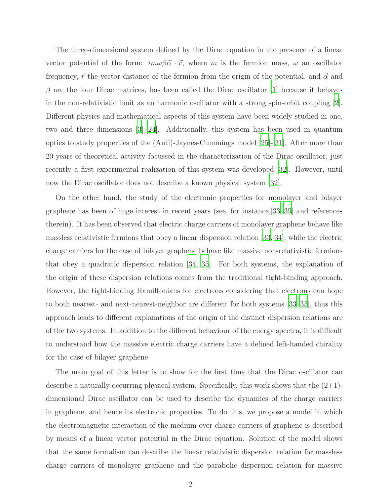The three-dimensional system defined by the Dirac equation in the presence of a linear vector potential of the form:  $im\omega\beta\vec{\alpha}\cdot\vec{r}$ , where m is the fermion mass,  $\omega$  an oscillator frequency,  $\vec{r}$  the vector distance of the fermion from the origin of the potential, and  $\vec{\alpha}$  and  $\beta$  are the four Dirac matrices, has been called the Dirac oscillator [\[1\]](#page-8-0) because it behaves in the non-relativistic limit as an harmonic oscillator with a strong spin-orbit coupling [\[2\]](#page-8-1). Different physics and mathematical aspects of this system have been widely studied in one, two and three dimensions [\[3](#page-8-2)]-[\[24](#page-9-0)]. Additionally, this system has been used in quantum optics to study properties of the (Anti)-Jaynes-Cummings model [\[25\]](#page-9-1)-[\[31\]](#page-9-2). After more than 20 years of theoretical activity focussed in the characterization of the Dirac oscillator, just recently a first experimental realization of this system was developed [\[32\]](#page-9-3). However, until now the Dirac oscillator does not describe a known physical system [\[32](#page-9-3)].

<span id="page-2-0"></span>On the other hand, the study of the electronic properties for monolayer and bilayer graphene has been of huge interest in recent years (see, for instance,[\[33](#page-9-4)[–35\]](#page-9-5) and references therein). It has been observed that electric charge carriers of monolayer graphene behave like massless relativistic fermions that obey a linear dispersion relation [\[33,](#page-9-4) [34\]](#page-9-6), while the electric charge carriers for the case of bilayer graphene behave like massive non-relativistic fermions that obey a quadratic dispersion relation [\[34,](#page-9-6) [35\]](#page-9-5). For both systems, the explanation of the origin of these dispersion relations comes from the traditional tight-binding approach. However, the tight-binding Hamiltonians for electrons considering that electrons can hope to both nearest- and next-nearest-neighbor are different for both systems [\[33](#page-9-4)[–35](#page-9-5)], thus this approach leads to different explanations of the origin of the distinct dispersion relations are of the two systems. In addition to the different behaviour of the energy spectra, it is difficult to understand how the massive electric charge carriers have a defined left-handed chirality for the case of bilayer graphene.

The main goal of this letter is to show for the first time that the Dirac oscillator can describe a naturally occurring physical system. Specifically, this work shows that the  $(2+1)$ dimensional Dirac oscillator can be used to describe the dynamics of the charge carriers in graphene, and hence its electronic properties. To do this, we propose a model in which the electromagnetic interaction of the medium over charge carriers of graphene is described by means of a linear vector potential in the Dirac equation. Solution of the model shows that the same formalism can describe the linear relativistic dispersion relation for massless charge carriers of monolayer graphene and the parabolic dispersion relation for massive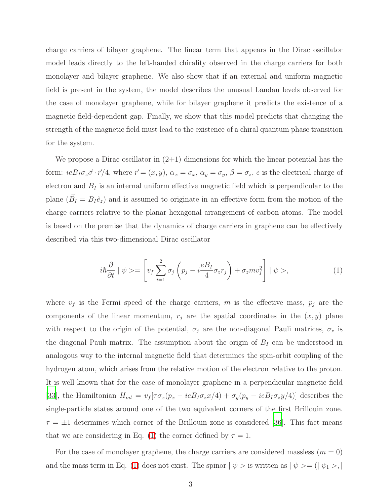<span id="page-3-1"></span><span id="page-3-0"></span>charge carriers of bilayer graphene. The linear term that appears in the Dirac oscillator model leads directly to the left-handed chirality observed in the charge carriers for both monolayer and bilayer graphene. We also show that if an external and uniform magnetic field is present in the system, the model describes the unusual Landau levels observed for the case of monolayer graphene, while for bilayer graphene it predicts the existence of a magnetic field-dependent gap. Finally, we show that this model predicts that changing the strength of the magnetic field must lead to the existence of a chiral quantum phase transition for the system.

We propose a Dirac oscillator in  $(2+1)$  dimensions for which the linear potential has the form:  $ieB_I\sigma_z\vec{\sigma}\cdot\vec{r}/4$ , where  $\vec{r}=(x,y)$ ,  $\alpha_x=\sigma_x$ ,  $\alpha_y=\sigma_y$ ,  $\beta=\sigma_z$ , e is the electrical charge of electron and  $B_I$  is an internal uniform effective magnetic field which is perpendicular to the plane  $(\vec{B}_I = B_I \hat{e}_z)$  and is assumed to originate in an effective form from the motion of the charge carriers relative to the planar hexagonal arrangement of carbon atoms. The model is based on the premise that the dynamics of charge carriers in graphene can be effectively described via this two-dimensional Dirac oscillator

<span id="page-3-5"></span><span id="page-3-3"></span><span id="page-3-2"></span>
$$
i\hbar \frac{\partial}{\partial t} \mid \psi \rangle = \left[ v_f \sum_{i=1}^2 \sigma_j \left( p_j - i \frac{e B_I}{4} \sigma_z r_j \right) + \sigma_z m v_f^2 \right] \mid \psi \rangle, \tag{1}
$$

where  $v_f$  is the Fermi speed of the charge carriers, m is the effective mass,  $p_j$  are the components of the linear momentum,  $r_j$  are the spatial coordinates in the  $(x, y)$  plane with respect to the origin of the potential,  $\sigma_j$  are the non-diagonal Pauli matrices,  $\sigma_z$  is the diagonal Pauli matrix. The assumption about the origin of  $B_I$  can be understood in analogous way to the internal magnetic field that determines the spin-orbit coupling of the hydrogen atom, which arises from the relative motion of the electron relative to the proton. It is well known that for the case of monolayer graphene in a perpendicular magnetic field [\[33](#page-9-4)], the Hamiltonian  $H_{ml} = v_f [\tau \sigma_x (p_x - ieB_I \sigma_z x/4) + \sigma_y (p_y - ieB_I \sigma_z y/4)]$  describes the single-particle states around one of the two equivalent corners of the first Brillouin zone.  $\tau = \pm 1$  determines which corner of the Brillouin zone is considered [\[36\]](#page-9-7). This fact means that we are considering in Eq. [\(1\)](#page-2-0) the corner defined by  $\tau = 1$ .

<span id="page-3-4"></span>For the case of monolayer graphene, the charge carriers are considered massless  $(m = 0)$ and the mass term in Eq. [\(1\)](#page-2-0) does not exist. The spinor  $|\psi\rangle$  is written as  $|\psi\rangle = (|\psi_1\rangle, |\psi_2\rangle)$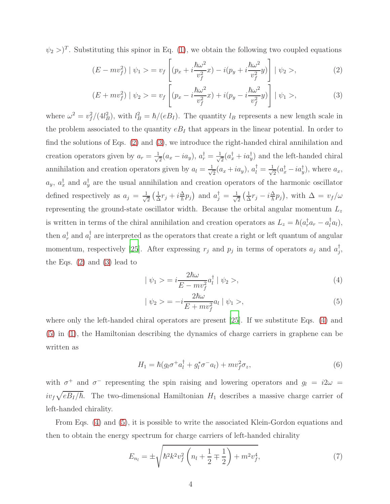$(\psi_2>)^T$ . Substituting this spinor in Eq. [\(1\)](#page-2-0), we obtain the following two coupled equations

$$
(E - mv_f^2) | \psi_1 \rangle = v_f \left[ (p_x + i\frac{\hbar\omega^2}{v_f^2}x) - i(p_y + i\frac{\hbar\omega^2}{v_f^2}y) \right] | \psi_2 \rangle, \tag{2}
$$

$$
(E + mv_f^2) | \psi_2 \rangle = v_f \left[ (p_x - i\frac{\hbar \omega^2}{v_f^2} x) + i(p_y - i\frac{\hbar \omega^2}{v_f^2} y) \right] | \psi_1 \rangle, \tag{3}
$$

where  $\omega^2 = v_f^2$  $f_I^2/(4l_B^2)$ , with  $l_B^2 = \hbar/(eB_I)$ . The quantity  $l_B$  represents a new length scale in the problem associated to the quantity  $e_{I}$  that appears in the linear potential. In order to find the solutions of Eqs. [\(2\)](#page-3-0) and [\(3\)](#page-3-1), we introduce the right-handed chiral annihilation and creation operators given by  $a_r = \frac{1}{\sqrt{2}}$  $\frac{1}{2}(a_x - i a_y), a^{\dagger}_r = \frac{1}{\sqrt{2}}$  $\frac{1}{2}(a_x^{\dagger} + ia_y^{\dagger})$  and the left-handed chiral annihilation and creation operators given by  $a_l = \frac{1}{\sqrt{l}}$  $\frac{1}{2}(a_x+i a_y), a_l^{\dagger}=\frac{1}{\sqrt{2}}$  $\frac{1}{2}(a_x^{\dagger} - ia_y^{\dagger}),$  where  $a_x$ ,  $a_y$ ,  $a_x^{\dagger}$  and  $a_y^{\dagger}$  are the usual annihilation and creation operators of the harmonic oscillator defined respectively as  $a_j = \frac{1}{\sqrt{2}}$  $\frac{1}{2}(\frac{1}{\Delta})$  $\frac{1}{\Delta}r_j + i\frac{\Delta}{\hbar}p_j$  and  $a_j^{\dagger} = \frac{1}{\sqrt{2}}$  $\frac{1}{2}(\frac{1}{\Delta})$  $\frac{1}{\Delta}r_j - i\frac{\Delta}{\hbar}p_j$ , with  $\Delta = v_f/\omega$ representing the ground-state oscillator width. Because the orbital angular momentum  $L_z$ is written in terms of the chiral annihilation and creation operators as  $L_z = \hbar (a_r^{\dagger} a_r - a_l^{\dagger} a_l)$ , then  $a_r^{\dagger}$  and  $a_l^{\dagger}$  are interpreted as the operators that create a right or left quantum of angular momentum, respectively [\[25](#page-9-1)]. After expressing  $r_j$  and  $p_j$  in terms of operators  $a_j$  and  $a_j^{\dagger}$ , the Eqs. [\(2\)](#page-3-0) and [\(3\)](#page-3-1) lead to

$$
|\psi_1\rangle = i\frac{2\hbar\omega}{E - mv_f^2}a_l^{\dagger}|\psi_2\rangle, \tag{4}
$$

$$
|\psi_2\rangle = -i\frac{2\hbar\omega}{E + mv_f^2}a_l |\psi_1\rangle, \tag{5}
$$

where only the left-handed chiral operators are present [\[25\]](#page-9-1). If we substitute Eqs. [\(4\)](#page-3-2) and [\(5\)](#page-3-3) in [\(1\)](#page-2-0), the Hamiltonian describing the dynamics of charge carriers in graphene can be written as

<span id="page-4-0"></span>
$$
H_1 = \hbar (g_l \sigma^+ a_l^\dagger + g_l^* \sigma^- a_l) + m v_f^2 \sigma_z, \tag{6}
$$

with  $\sigma^+$  and  $\sigma^-$  representing the spin raising and lowering operators and  $g_l = i2\omega =$  $iv_f\sqrt{eB_I/\hbar}$ . The two-dimensional Hamiltonian  $H_1$  describes a massive charge carrier of left-handed chirality.

From Eqs. [\(4\)](#page-3-2) and [\(5\)](#page-3-3), it is possible to write the associated Klein-Gordon equations and then to obtain the energy spectrum for charge carriers of left-handed chirality

$$
E_{n_l} = \pm \sqrt{\hbar^2 k^2 v_f^2 \left( n_l + \frac{1}{2} \mp \frac{1}{2} \right) + m^2 v_f^4},\tag{7}
$$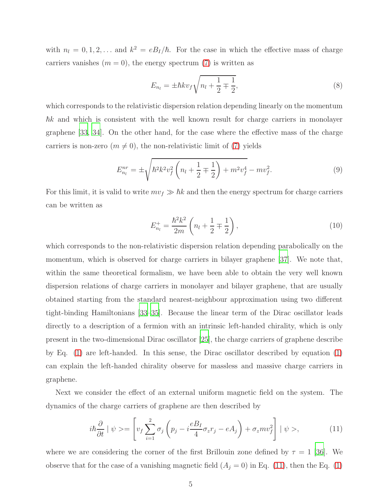with  $n_l = 0, 1, 2, \ldots$  and  $k^2 = eB_I/\hbar$ . For the case in which the effective mass of charge carriers vanishes  $(m = 0)$ , the energy spectrum [\(7\)](#page-3-4) is written as

<span id="page-5-0"></span>
$$
E_{n_l} = \pm \hbar k v_f \sqrt{n_l + \frac{1}{2} \mp \frac{1}{2}},\tag{8}
$$

which corresponds to the relativistic dispersion relation depending linearly on the momentum  $\hbar k$  and which is consistent with the well known result for charge carriers in monolayer graphene [\[33,](#page-9-4) [34](#page-9-6)]. On the other hand, for the case where the effective mass of the charge carriers is non-zero  $(m \neq 0)$ , the non-relativistic limit of [\(7\)](#page-3-4) yields

$$
E_{n_l}^{nr} = \pm \sqrt{\hbar^2 k^2 v_f^2 \left( n_l + \frac{1}{2} \mp \frac{1}{2} \right) + m^2 v_f^4} - m v_f^2.
$$
 (9)

For this limit, it is valid to write  $mv_f \gg \hbar k$  and then the energy spectrum for charge carriers can be written as

<span id="page-5-6"></span><span id="page-5-5"></span><span id="page-5-4"></span><span id="page-5-3"></span><span id="page-5-2"></span><span id="page-5-1"></span>
$$
E_{n_l}^+ = \frac{\hbar^2 k^2}{2m} \left( n_l + \frac{1}{2} \mp \frac{1}{2} \right),\tag{10}
$$

which corresponds to the non-relativistic dispersion relation depending parabolically on the momentum, which is observed for charge carriers in bilayer graphene [\[37\]](#page-9-8). We note that, within the same theoretical formalism, we have been able to obtain the very well known dispersion relations of charge carriers in monolayer and bilayer graphene, that are usually obtained starting from the standard nearest-neighbour approximation using two different tight-binding Hamiltonians [\[33](#page-9-4)[–35](#page-9-5)]. Because the linear term of the Dirac oscillator leads directly to a description of a fermion with an intrinsic left-handed chirality, which is only present in the two-dimensional Dirac oscillator [\[25](#page-9-1)], the charge carriers of graphene describe by Eq. [\(1\)](#page-2-0) are left-handed. In this sense, the Dirac oscillator described by equation [\(1\)](#page-2-0) can explain the left-handed chirality observe for massless and massive charge carriers in graphene.

Next we consider the effect of an external uniform magnetic field on the system. The dynamics of the charge carriers of graphene are then described by

<span id="page-5-7"></span>
$$
i\hbar \frac{\partial}{\partial t} \mid \psi \rangle = \left[ v_f \sum_{i=1}^2 \sigma_j \left( p_j - i \frac{e B_I}{4} \sigma_z r_j - e A_j \right) + \sigma_z m v_f^2 \right] \mid \psi \rangle, \tag{11}
$$

where we are considering the corner of the first Brillouin zone defined by  $\tau = 1$  [\[36](#page-9-7)]. We observe that for the case of a vanishing magnetic field  $(A_j = 0)$  in Eq. [\(11\)](#page-4-0), then the Eq. [\(1\)](#page-2-0)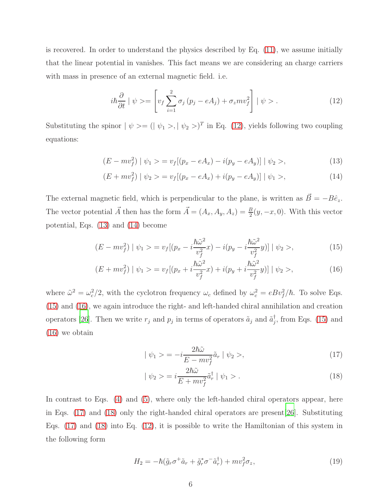is recovered. In order to understand the physics described by Eq. [\(11\)](#page-4-0), we assume initially that the linear potential in vanishes. This fact means we are considering an charge carriers with mass in presence of an external magnetic field. i.e.

<span id="page-6-1"></span><span id="page-6-0"></span>
$$
i\hbar \frac{\partial}{\partial t} \mid \psi \rangle = \left[ v_f \sum_{i=1}^{2} \sigma_j (p_j - eA_j) + \sigma_z m v_f^2 \right] \mid \psi \rangle. \tag{12}
$$

Substituting the spinor  $|\psi\rangle = (|\psi_1\rangle, |\psi_2\rangle)^T$  in Eq. [\(12\)](#page-5-0), yields following two coupling equations:

$$
(E - mv_f^2) | \psi_1 \rangle = v_f [(p_x - eA_x) - i(p_y - eA_y)] | \psi_2 \rangle, \tag{13}
$$

$$
(E + mv_f^2) | \psi_2 \rangle = v_f [(p_x - eA_x) + i(p_y - eA_y)] | \psi_1 \rangle, \qquad (14)
$$

The external magnetic field, which is perpendicular to the plane, is written as  $\vec{B} = -B\hat{e}_z$ . The vector potential  $\vec{A}$  then has the form  $\vec{A} = (A_x, A_y, A_z) = \frac{B}{2}(y, -x, 0)$ . With this vector potential, Eqs. [\(13\)](#page-5-1) and [\(14\)](#page-5-2) become

$$
(E - mv_f^2) | \psi_1 \rangle = v_f [(p_x - i\frac{\hbar \tilde{\omega}^2}{v_f^2}x) - i(p_y - i\frac{\hbar \tilde{\omega}^2}{v_f^2}y)] | \psi_2 \rangle, \tag{15}
$$

$$
(E + mv_f^2) | \psi_1 \rangle = v_f [(p_x + i\frac{\hbar \tilde{\omega}^2}{v_f^2}x) + i(p_y + i\frac{\hbar \tilde{\omega}^2}{v_f^2}y)] | \psi_2 \rangle, \tag{16}
$$

where  $\tilde{\omega}^2 = \omega_c^2/2$ , with the cyclotron frequency  $\omega_c$  defined by  $\omega_c^2 = eBv_f^2/\hbar$ . To solve Eqs. [\(15\)](#page-5-3) and [\(16\)](#page-5-4), we again introduce the right- and left-handed chiral annihilation and creation operators [\[26](#page-9-9)]. Then we write  $r_j$  and  $p_j$  in terms of operators  $\tilde{a}_j$  and  $\tilde{a}_j^{\dagger}$ , from Eqs. [\(15\)](#page-5-3) and [\(16\)](#page-5-4) we obtain

$$
|\psi_1 \rangle = -i \frac{2\hbar \tilde{\omega}}{E - mv_f^2} \tilde{a}_r |\psi_2 \rangle, \qquad (17)
$$

$$
|\psi_2\rangle = i \frac{2\hbar \tilde{\omega}}{E + mv_f^2} \tilde{a}_r^{\dagger} | \psi_1 \rangle . \tag{18}
$$

In contrast to Eqs. [\(4\)](#page-3-2) and [\(5\)](#page-3-3), where only the left-handed chiral operators appear, here in Eqs. [\(17\)](#page-5-5) and [\(18\)](#page-5-6) only the right-handed chiral operators are present[\[26\]](#page-9-9). Substituting Eqs. [\(17\)](#page-5-5) and [\(18\)](#page-5-6) into Eq. [\(12\)](#page-5-0), it is possible to write the Hamiltonian of this system in the following form

$$
H_2 = -\hbar(\tilde{g}_r \sigma^+ \tilde{a}_r + \tilde{g}_r^* \sigma^- \tilde{a}_r^{\dagger}) + m v_f^2 \sigma_z, \qquad (19)
$$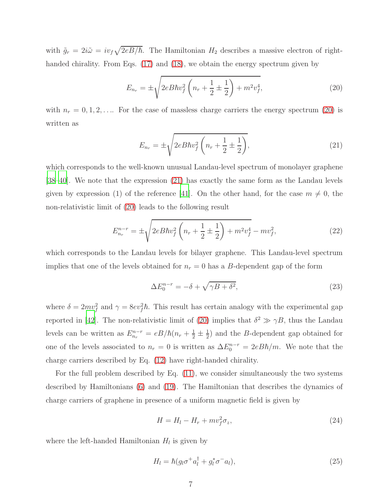with  $\tilde{g}_r = 2i\tilde{\omega} = iv_f\sqrt{2eB/\hbar}$ . The Hamiltonian  $H_2$  describes a massive electron of right-handed chirality. From Eqs. [\(17\)](#page-5-5) and [\(18\)](#page-5-6), we obtain the energy spectrum given by

<span id="page-7-0"></span>
$$
E_{n_r} = \pm \sqrt{2eB\hbar v_f^2 \left(n_r + \frac{1}{2} \pm \frac{1}{2}\right) + m^2 v_f^4},\tag{20}
$$

with  $n_r = 0, 1, 2, \ldots$  For the case of massless charge carriers the energy spectrum [\(20\)](#page-6-0) is written as

$$
E_{n_r} = \pm \sqrt{2eB\hbar v_f^2 \left(n_r + \frac{1}{2} \pm \frac{1}{2}\right)},\tag{21}
$$

which corresponds to the well-known unusual Landau-level spectrum of monolayer graphene [\[38](#page-9-10)[–40\]](#page-9-11). We note that the expression [\(21\)](#page-6-1) has exactly the same form as the Landau levels given by expression (1) of the reference [\[41](#page-9-12)]. On the other hand, for the case  $m \neq 0$ , the non-relativistic limit of [\(20\)](#page-6-0) leads to the following result

$$
E_{n_r}^{n-r} = \pm \sqrt{2eB\hbar v_f^2 \left(n_r + \frac{1}{2} \pm \frac{1}{2}\right) + m^2 v_f^4 - mv_f^2},\tag{22}
$$

which corresponds to the Landau levels for bilayer graphene. This Landau-level spectrum implies that one of the levels obtained for  $n_r = 0$  has a B-dependent gap of the form

$$
\Delta E_0^{n-r} = -\delta + \sqrt{\gamma B + \delta^2},\tag{23}
$$

where  $\delta = 2mv_f^2$  and  $\gamma = 8ev_f^2\hbar$ . This result has certain analogy with the experimental gap reported in [\[42](#page-9-13)]. The non-relativistic limit of [\(20\)](#page-6-0) implies that  $\delta^2 \gg \gamma B$ , thus the Landau levels can be written as  $E_{n_r}^{n-r} = eB/\hbar(n_r + \frac{1}{2} \pm \frac{1}{2})$  $\frac{1}{2}$ ) and the *B*-dependent gap obtained for one of the levels associated to  $n_r = 0$  is written as  $\Delta E_0^{n-r} = 2eB\hbar/m$ . We note that the charge carriers described by Eq. [\(12\)](#page-5-0) have right-handed chirality.

For the full problem described by Eq. [\(11\)](#page-4-0), we consider simultaneously the two systems described by Hamiltonians [\(6\)](#page-3-5) and [\(19\)](#page-5-7). The Hamiltonian that describes the dynamics of charge carriers of graphene in presence of a uniform magnetic field is given by

$$
H = H_l - H_r + m v_f^2 \sigma_z,\tag{24}
$$

where the left-handed Hamiltonian  $H_l$  is given by

$$
H_l = \hbar (g_l \sigma^+ a_l^\dagger + g_l^* \sigma^- a_l), \qquad (25)
$$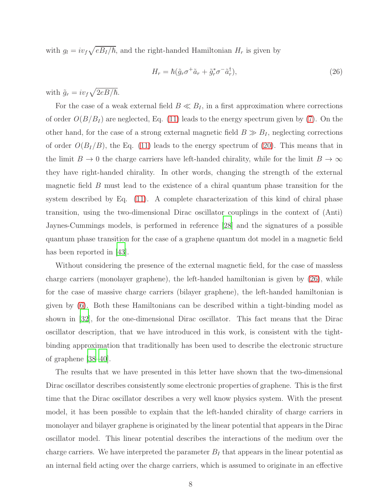with  $g_l = i v_f \sqrt{e B_I/\hbar}$ , and the right-handed Hamiltonian  $H_r$  is given by

$$
H_r = \hbar (\tilde{g}_r \sigma^+ \tilde{a}_r + \tilde{g}_r^* \sigma^- \tilde{a}_r^\dagger), \tag{26}
$$

with  $\tilde{g}_r = i v_f \sqrt{2eB/\hbar}$ .

For the case of a weak external field  $B \ll B_I$ , in a first approximation where corrections of order  $O(B/B_I)$  are neglected, Eq. [\(11\)](#page-4-0) leads to the energy spectrum given by [\(7\)](#page-3-4). On the other hand, for the case of a strong external magnetic field  $B \gg B<sub>I</sub>$ , neglecting corrections of order  $O(B_I/B)$ , the Eq. [\(11\)](#page-4-0) leads to the energy spectrum of [\(20\)](#page-6-0). This means that in the limit  $B \to 0$  the charge carriers have left-handed chirality, while for the limit  $B \to \infty$ they have right-handed chirality. In other words, changing the strength of the external magnetic field B must lead to the existence of a chiral quantum phase transition for the system described by Eq. [\(11\)](#page-4-0). A complete characterization of this kind of chiral phase transition, using the two-dimensional Dirac oscillator couplings in the context of (Anti) Jaynes-Cummings models, is performed in reference [\[28](#page-9-14)] and the signatures of a possible quantum phase transition for the case of a graphene quantum dot model in a magnetic field has been reported in [\[43](#page-10-0)].

<span id="page-8-2"></span><span id="page-8-1"></span><span id="page-8-0"></span>Without considering the presence of the external magnetic field, for the case of massless charge carriers (monolayer graphene), the left-handed hamiltonian is given by [\(26\)](#page-7-0), while for the case of massive charge carriers (bilayer graphene), the left-handed hamiltonian is given by [\(6\)](#page-3-5). Both these Hamiltonians can be described within a tight-binding model as shown in [\[32](#page-9-3)], for the one-dimensional Dirac oscillator. This fact means that the Dirac oscillator description, that we have introduced in this work, is consistent with the tightbinding approximation that traditionally has been used to describe the electronic structure of graphene [\[38](#page-9-10)[–40\]](#page-9-11).

The results that we have presented in this letter have shown that the two-dimensional Dirac oscillator describes consistently some electronic properties of graphene. This is the first time that the Dirac oscillator describes a very well know physics system. With the present model, it has been possible to explain that the left-handed chirality of charge carriers in monolayer and bilayer graphene is originated by the linear potential that appears in the Dirac oscillator model. This linear potential describes the interactions of the medium over the charge carriers. We have interpreted the parameter  $B_I$  that appears in the linear potential as an internal field acting over the charge carriers, which is assumed to originate in an effective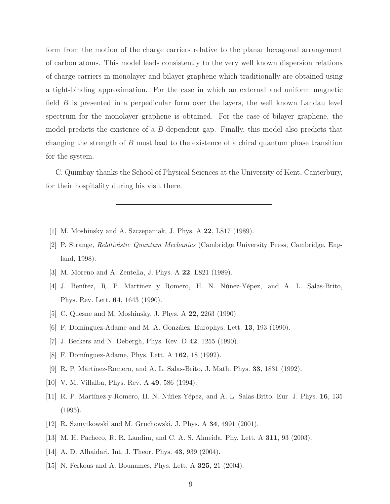form from the motion of the charge carriers relative to the planar hexagonal arrangement of carbon atoms. This model leads consistently to the very well known dispersion relations of charge carriers in monolayer and bilayer graphene which traditionally are obtained using a tight-binding approximation. For the case in which an external and uniform magnetic field  $B$  is presented in a perpedicular form over the layers, the well known Landau level spectrum for the monolayer graphene is obtained. For the case of bilayer graphene, the model predicts the existence of a B-dependent gap. Finally, this model also predicts that changing the strength of B must lead to the existence of a chiral quantum phase transition for the system.

<span id="page-9-9"></span><span id="page-9-1"></span><span id="page-9-0"></span>C. Quimbay thanks the School of Physical Sciences at the University of Kent, Canterbury, for their hospitality during his visit there.

- <span id="page-9-14"></span>[1] M. Moshinsky and A. Szczepaniak, J. Phys. A 22, L817 (1989).
- <span id="page-9-2"></span>[2] P. Strange, Relativistic Quantum Mechanics (Cambridge University Press, Cambridge, England, 1998).
- <span id="page-9-3"></span>[3] M. Moreno and A. Zentella, J. Phys. A 22, L821 (1989).
- <span id="page-9-4"></span>[4] J. Benítez, R. P. Martinez y Romero, H. N. Núñez-Yépez, and A. L. Salas-Brito, Phys. Rev. Lett. 64, 1643 (1990).
- <span id="page-9-6"></span>[5] C. Quesne and M. Moshinsky, J. Phys. A 22, 2263 (1990).
- <span id="page-9-5"></span>[6] F. Domínguez-Adame and M. A. González, Europhys. Lett.  $13$ ,  $193$  (1990).
- <span id="page-9-7"></span>[7] J. Beckers and N. Debergh, Phys. Rev. D 42, 1255 (1990).
- <span id="page-9-8"></span>[8] F. Domínguez-Adame, Phys. Lett. A 162, 18 (1992).
- [9] R. P. Martínez-Romero, and A. L. Salas-Brito, J. Math. Phys. **33**, 1831 (1992).
- <span id="page-9-10"></span>[10] V. M. Villalba, Phys. Rev. A 49, 586 (1994).
- [11] R. P. Martínez-y-Romero, H. N. Núñez-Yépez, and A. L. Salas-Brito, Eur. J. Phys. 16, 135 (1995).
- <span id="page-9-12"></span><span id="page-9-11"></span>[12] R. Szmytkowski and M. Gruchowski, J. Phys. A 34, 4991 (2001).
- <span id="page-9-13"></span>[13] M. H. Pacheco, R. R. Landim, and C. A. S. Almeida, Phy. Lett. A 311, 93 (2003).
- [14] A. D. Alhaidari, Int. J. Theor. Phys. **43**, 939 (2004).
- [15] N. Ferkous and A. Bounames, Phys. Lett. A 325, 21 (2004).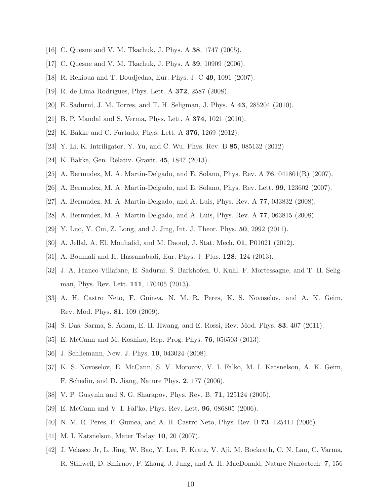- <span id="page-10-0"></span>[16] C. Quesne and V. M. Tkachuk, J. Phys. A 38, 1747 (2005).
- [17] C. Quesne and V. M. Tkachuk, J. Phys. A 39, 10909 (2006).
- [18] R. Rekioua and T. Boudjedaa, Eur. Phys. J. C 49, 1091 (2007).
- [19] R. de Lima Rodrigues, Phys. Lett. A 372, 2587 (2008).
- [20] E. Sadurn´ı, J. M. Torres, and T. H. Seligman, J. Phys. A 43, 285204 (2010).
- [21] B. P. Mandal and S. Verma, Phys. Lett. A 374, 1021 (2010).
- [22] K. Bakke and C. Furtado, Phys. Lett. A 376, 1269 (2012).
- [23] Y. Li, K. Intriligator, Y. Yu, and C. Wu, Phys. Rev. B 85, 085132 (2012)
- [24] K. Bakke, Gen. Relativ. Gravit. 45, 1847 (2013).
- [25] A. Bermudez, M. A. Martin-Delgado, and E. Solano, Phys. Rev. A 76, 041801(R) (2007).
- [26] A. Bermudez, M. A. Martin-Delgado, and E. Solano, Phys. Rev. Lett. 99, 123602 (2007).
- [27] A. Bermudez, M. A. Martin-Delgado, and A. Luis, Phys. Rev. A 77, 033832 (2008).
- [28] A. Bermudez, M. A. Martin-Delgado, and A. Luis, Phys. Rev. A 77, 063815 (2008).
- [29] Y. Luo, Y. Cui, Z. Long, and J. Jing, Int. J. Theor. Phys. 50, 2992 (2011).
- [30] A. Jellal, A. El. Mouhafid, and M. Daoud, J. Stat. Mech. 01, P01021 (2012).
- [31] A. Boumali and H. Hassanabadi, Eur. Phys. J. Plus. 128: 124 (2013).
- [32] J. A. Franco-Villafane, E. Sadurni, S. Barkhofen, U. Kuhl, F. Mortessagne, and T. H. Seligman, Phys. Rev. Lett. 111, 170405 (2013).
- [33] A. H. Castro Neto, F. Guinea, N. M. R. Peres, K. S. Novoselov, and A. K. Geim, Rev. Mod. Phys. 81, 109 (2009).
- [34] S. Das. Sarma, S. Adam, E. H. Hwang, and E. Rossi, Rev. Mod. Phys. 83, 407 (2011).
- [35] E. McCann and M. Koshino, Rep. Prog. Phys. 76, 056503 (2013).
- [36] J. Schliemann, New. J. Phys. **10**, 043024 (2008).
- [37] K. S. Novoselov, E. McCann, S. V. Morozov, V. I. Falko, M. I. Katsnelson, A. K. Geim, F. Schedin, and D. Jiang, Nature Phys. 2, 177 (2006).
- [38] V. P. Gusynin and S. G. Sharapov, Phys. Rev. B. 71, 125124 (2005).
- [39] E. McCann and V. I. Fal'ko, Phys. Rev. Lett. 96, 086805 (2006).
- [40] N. M. R. Peres, F. Guinea, and A. H. Castro Neto, Phys. Rev. B 73, 125411 (2006).
- [41] M. I. Katsnelson, Mater Today 10, 20 (2007).
- [42] J. Velasco Jr, L. Jing, W. Bao, Y. Lee, P. Kratz, V. Aji, M. Bockrath, C. N. Lau, C. Varma, R. Stillwell, D. Smirnov, F. Zhang, J. Jung, and A. H. MacDonald, Nature Nanoctech. 7, 156